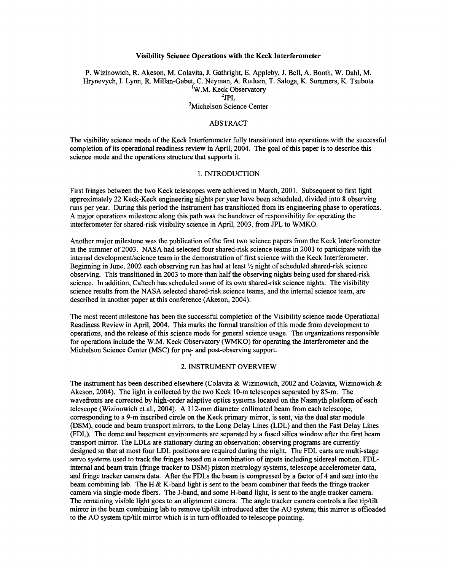#### Visibility Science Operations with the Keck Interferometer

P. Wizinowich, R. Akeson, M. Colavita, J. Gathright, E. Appleby, J. Bell, A. Booth, W. Dahl, M. Hrynevych, I. Lynn, R. Millan-Gabet, C. Neyman, A. Rudeen, T. Saloga, K. Summers, K. Tsubota 'W.M. Keck Observatory 3Michelson Science Center  $^{2}$ JPL

## ABSTRACT

The visibility science mode of the Keck Interferometer fully transitioned into operations with the successful completion of its operational readiness review in April, 2004. The goal of this paper is to describe this science mode and the operations structure that supports it.

## 1. INTRODUCTION

First fringes between the two Keck telescopes were achieved in March, 2001. Subsequent to first light approximately 22 Keck-Keck engineering nights per year have been scheduled, divided into 8 observing runs per year. During this period the instrument has transitioned fiom its engineering phase to operations. A major operations milestone along this path was the handover of responsibility for operating the interferometer for shared-risk visibility science in April, 2003, fiom JPL to WMKO.

Another major milestone was the publication of the first two science papers from the Keck Interferometer in the summer of 2003. NASA had selected four shared-risk science teams in 2001 to participate with the internal development/science team in the demonstration of first science with the Keck Interferometer. Beginning in June, 2002 each observing run has had at least  $\frac{1}{2}$  night of scheduled shared-risk science observing. This transitioned in 2003 to more than half the observing nights being used for shared-risk science. In addition, Caltech has scheduled some of its own shared-risk science nights. The visibility science results fiom the NASA selected shared-risk science teams, and the internal science team, are described in another paper at this conference (Akeson, 2004).

The most recent milestone has been the successful completion of the Visibility science mode Operational Readiness Review in April, 2004. This marks the formal transition of this mode fiom development to operations, and the release of this science mode for general science usage. The organizations responsible for operations include the W.M. Keck Observatory (WMKO) for operating the Interferometer and the Michelson Science Center (MSC) for pre- and post-observing support.

>

# 2. INSTRUMENT OVERVIEW

The instrument has been described elsewhere (Colavita & Wizinowich, 2002 and Colavita, Wizinowich & Akeson, 2004). The light is collected by the two Keck 10-m telescopes separated by 85-m. The wavefionts are corrected by high-order adaptive optics systems located on the Nasmyth platform of each telescope (Wizinowich et al., 2004). A 112-mm diameter collimated beam fiom each telescope, corresponding to a 9-m inscribed circle on the Keck primary mirror, is sent, via the dual star module (DSM), coude and beam transport mirrors, to the Long Delay Lines (LDL) and then the Fast Delay Lines (FDL). The dome and basement environments are separated by a fused silica window after the first beam transport mirror. The LDLs are stationary during an observation; observing programs are currently designed so that at most four LDL positions are required during the night. The FDL carts are multi-stage servo systems used to track the fiinges based on a combination of inputs including sidereal motion, FDLinternal and beam train (fringe tracker to DSM) piston metrology systems, telescope accelerometer data, and fiinge tracker camera data. After the FDLs the beam is compressed by a factor of 4 and sent into the beam combining lab. The H  $&$  K-band light is sent to the beam combiner that feeds the fringe tracker camera via single-mode fibers. The J-band, and some H-band light, is sent to the angle tracker camera. The remaining visible light goes to an alignment camera. The angle tracker camera controls a fast tip/tilt mirror in the beam combining lab to remove tipkilt introduced after the **A0** system; this mirror is offloaded to the AO system tip/tilt mirror which is in turn offloaded to telescope pointing.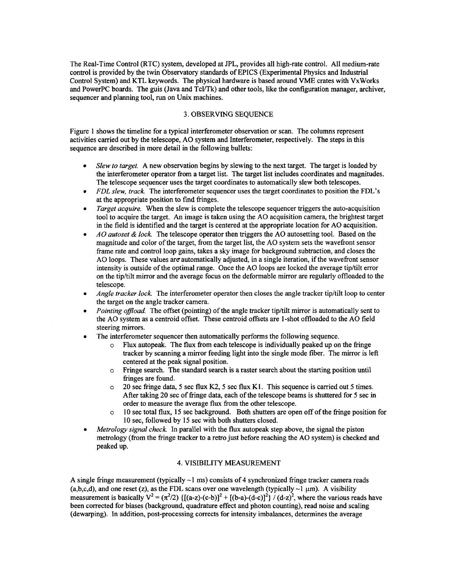<span id="page-1-0"></span>The Real-Time Control (RTC) system, developed at JPL, provides all high-rate control. All medium-rate control is provided by the twin Observatory standards of EPICS (Experimental Physics and Industrial Control System) and KTL keywords. The physical hardware is based around VME crates with VxWorks and PowerPC boards. The guis (Java and Tcl/Tk) and other tools, like the configuration manager, archiver, sequencer and planning tool, run on Unix machines.

# 3. OBSERVING SEQUENCE

Figure 1 shows the timeline for a typical interferometer observation or scan. The columns represent activities carried out by the telescope, A0 system and Interferometer, respectively. The steps in this sequence are described in more detail in the following bullets:

- *0 Slew tu turget.* A new observation begins by slewing to the next target. The target is loaded by the interferometer operator from a target list. The target list includes coordinates and magnitudes. The telescope sequencer uses the target coordinates to automatically slew both telescopes.
- *0*  FDL slew, track. The interferometer sequencer uses the target coordinates to position the FDL's at the appropriate position to find fringes.
- *0 Target ucquire.* When the slew is complete the telescope sequencer triggers the auto-acquisition tool to acquire the target. An image is taken using the A0 acquisition camera, the brightest target in the field is identified and the target is centered at the appropriate location for A0 acquisition.
- *0 A0 autuset* & *lock.* The telescope operator then triggers the A0 autosetting tool. Based on the magnitude and color of the target, from the target list, the A0 system sets the wavefront sensor frame rate and control loop gains, takes a sky image for background subtraction, and closes the A0 loops. These values are automatically adjusted, in a single iteration, if the wavefront sensor intensity is outside of the optimal range. Once the AO loops are locked the average tip/tilt error on the tip/tilt mirror and the average focus on the deformable mirror are regularly offloaded to the telescope.
- *0 Angle tracker lock.* The interferometer operator then closes the angle tracker tip/tilt loop to center the target on the angle tracker camera.
- *0 Pointing offload.* The offset (pointing) of the angle tracker tip/tilt mirror is automatically sent to the A0 system as a centroid offset. These centroid offsets are 1-shot offloaded to the A0 field steering mirrors.
- *0*  The interferometer sequencer then automatically performs the following sequence.
	- Flux autopeak. The flux from each telescope is individually peaked up on the fringe tracker by scanning a mirror feeding light into the single mode fiber. The mirror is left centered at the peak signal position.
	- Fringe search. The standard search is a raster search about the starting position until o fringes are found.
	- 20 sec fringe data, *5* sec flux **K2,5** sec flux **K1.** This sequence is carried out *5* times. After taking 20 sec of fringe data, each of the telescope beams is shuttered for 5 sec in order to measure the average flux from the other telescope. o
	- 10 sec total flux, **15** sec background. Both shutters are open off of the fiinge position for 10 sec, followed by 15 sec with both shutters closed. *o*
- *0 Metrology signal check.* In parallel with the flux autopeak step above, the signal the piston metrology (from the fringe tracker to a retro just before reaching the A0 system) is checked and peaked up.

# **4.** VISIBILITY MEASUREMENT

A single fringe measurement (typically -1 ms) consists of **4** synchronized fringe tracker camera reads (a,b,c,d), and one reset (z), as the FDL scans over one wavelength (typically  $\sim$ 1  $\mu$ m). A visibility measurement is basically  $V^2 = (\pi^2/2)$  { $[(a-z)-(c-b)]^2 + [(b-a)-(d-c)]^2$ } / (d-z)<sup>2</sup>, where the various reads have been corrected for biases (background, quadrature effect and photon counting), read noise and scaling (dewarping). **In** addition, post-processing corrects for intensity imbalances, determines the average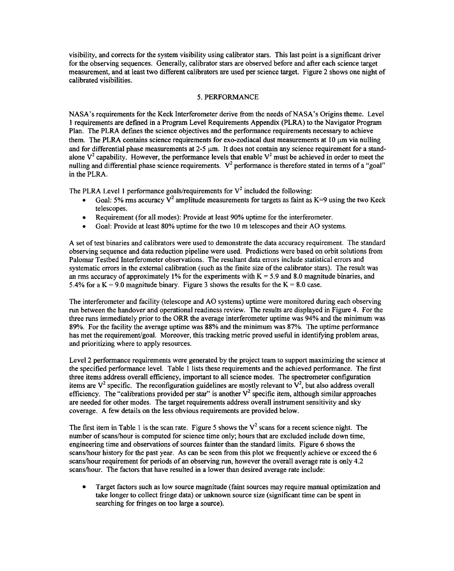visibility, and corrects for the system visibility using calibrator stars. This last point is a significant driver for the observing sequences. Generally, calibrator stars are observed before and after each science target measurement, and at least two different calibrators are used per science target. Figure **2** shows one night of calibrated visibilities.

# **5.** PERFORMANCE

NASA's requirements for the Keck Interferometer derive from the needs of NASA's Origins theme. Level **1** requirements are defined in a Program Level Requirements Appendix (PLRA) to the Navigator Program Plan. The PLRA defines the science objectives and the performance requirements necessary to achieve them. The PLRA contains science requirements for exo-zodiacal dust measurements at  $10 \mu m$  via nulling and for differential phase measurements at 2-5  $\mu$ m. It does not contain any science requirement for a standalone  $V^2$  capability. However, the performance levels that enable  $V^2$  must be achieved in order to meet the nulling and differential phase science requirements. V<sup>2</sup> performance is therefore stated in terms of a "goal" in the PLRA.

The PLRA Level 1 performance goals/requirements for  $V^2$  included the following:

- *0*  Goal: 5% rms accuracy  $V^2$  amplitude measurements for targets as faint as  $K=9$  using the two Keck telescopes.
- *0*  Requirement (for all modes): Provide at least 90% uptime for the interferometer.
- *0*  Goal: Provide at least 80% uptime for the two 10 m telescopes and their A0 systems.

A set of test binaries and calibrators were used to demonstrate the data accuracy requirement. The standard observing sequence and data reduction pipeline were used. Predictions were based on orbit solutions from Palomar Testbed Interferometer observations. The resultant data errors include statistical errors and systematic errors in the extemal calibration (such as the finite size of the calibrator stars). The result was an rms accuracy of approximately **1%** for the experiments with K = 5.9 and 8.0 magnitude binaries, and 5.4% for a  $K = 9.0$  magnitude binary. Figure 3 shows the results for the  $K = 8.0$  case.

The interferometer and facility (telescope and A0 systems) uptime were monitored during each observing run between the handover and operational readiness review. The results are displayed in [Figure](#page-7-0) **4.** For the three runs immediately prior to the ORR the average interferometer uptime was **94%** and the minimum was 89%. For the facility the average uptime was 88% and the minimum was 87%. The uptime performance has met the requirement/goal. Moreover, this tracking metric proved useful in identifying problem areas, and prioritizing where to apply resources.

Level **2** performance requirements were generated by the project team to support maximizing the science at the specified performance level. [Table](#page-12-0) **1** lists these requirements and the achieved performance. The frst three items address overall efficiency, important to all science modes. The spectrometer configuration items are  $V^2$  specific. The reconfiguration guidelines are mostly relevant to  $V^2$ , but also address overall efficiency. The "calibrations provided per star" is another  $V^2$  specific item, although similar approaches are needed for other modes. The target requirements address overall instrument sensitivity and sky coverage. A few details on the less obvious requirements are provided below.

The first item in Table 1 is the scan rate. [Figure 5](#page-8-0) shows the  $V^2$  scans for a recent science night. The number of scans/hour is computed for science time only; hours that are excluded include down time, engineering time and observations of sources fainter than the standard limits. Figure 6 shows the scans/hour history for the past year. As can be seen from this plot we frequently achieve or exceed the 6 scanshour requirement for periods of an observing run, however the overall average rate is only **4.2**  scans/hour. The factors that have resulted in a lower than desired average rate include:

Target factors such as low source magnitude (faint sources may require manual optimization and  $\bullet$ take longer to collect fringe data) or unknown source size (significant time can be spent in searching for fringes on too large a source).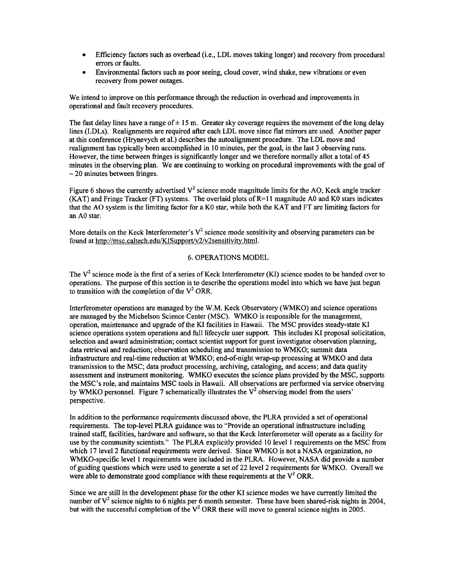- *0*  Efficiency factors such as overhead (i.e., LDL moves taking longer) and recovery from procedural errors or faults.
- *0*  Environmental factors such as poor seeing, cloud cover, wind shake, new vibrations or even recovery from power outages.

We intend to improve on this performance through the reduction in overhead and improvements in operational and fault recovery procedures.

The fast delay lines have a range of  $\pm$  15 m. Greater sky coverage requires the movement of the long delay lines (LDLs). Realignments are required after each LDL move since flat mirrors are used. Another paper at this conference (Hrynevych et al.) describes the autoalignment procedure. The LDL move and realignment has typically been accomplished in 10 minutes, per the goal, in the last 3 observing runs. However, the time between fringes is significantly longer and we therefore normally allot a total of **45**  minutes in the observing plan. We are continuing to working on procedural improvements with the goal of  $\sim$  20 minutes between fringes.

Figure 6 shows the currently advertised  $V^2$  science mode magnitude limits for the AO, Keck angle tracker (KAT) and Fringe Tracker (FT) systems. The overlaid plots of  $R=11$  magnitude A0 and K0 stars indicates that the A0 system is the limiting factor for a KO star, while both the KAT and FT are limiting factors for an A0 star.

More details on the Keck Interferometer's  $V^2$  science mode sensitivity and observing parameters can be found at http://msc.caltech.edu/KISupport/v2/v2sensitivity.html.

#### 6. OPERATIONS MODEL

The **V2** science mode is the first of a series of Keck Interferometer (KI) science modes to be handed over to operations. The purpose of this section is to describe the operations model into which we have just begun to transition with the completion of the  $V^2$  ORR.

Interferometer operations are managed by the W.M. Keck Observatory (WMKO) and science operations are managed by the Michelson Science Center (MSC). WMKO is responsible for the management, operation, maintenance and upgrade of the KI facilities in Hawaii. The MSC provides steady-state KI science operations system operations and full lifecycle user support. This includes KI proposal solicitation, selection and award administration; contact scientist support for guest investigator observation planning, data retrieval and reduction; observation scheduling and transmission to WMKO; summit data infrastructure and real-time reduction at WMKO; end-of-night wrap-up processing at WMKO and data transmission to the MSC; data product processing, archiving, cataloging, and access; and data quality assessment and instrument monitoring. WMKO executes the science plans provided by the MSC, supports the MSC's role, and maintains MSC tools in Hawaii. All observations are performed via service observing by WMKO personnel. [Figure 7](#page-10-0) schematically illustrates the **V2** observing model from the users' perspective.

In addition to the performance requirements discussed above, the PLRA provided a set of operational requirements. The top-level PLRA guidance was to "Provide an operational infrastructure including trained staff, facilities, hardware and software, so that the Keck Interferometer will operate as a facility for use by the community scientists." The PLRA explicitly provided 10 level 1 requirements on the MSC from which 17 level 2 functional requirements were derived. Since WMKO is not a NASA organization, no WMKO-specific level **1** requirements were included in the PLRA. However, NASA did provide a number of guiding questions which were used to generate a set of *22* level *2* requirements for WMKO. Overall we were able to demonstrate good compliance with these requirements at the  $V^2$  ORR.

Since we are still in the development phase for the other KI science modes we have currently limited the number of **V2** science nights to 6 nights per 6 month semester. These have been shared-risk nights in **2004,**  but with the successful completion of the V<sup>2</sup> ORR these will move to general science nights in 2005.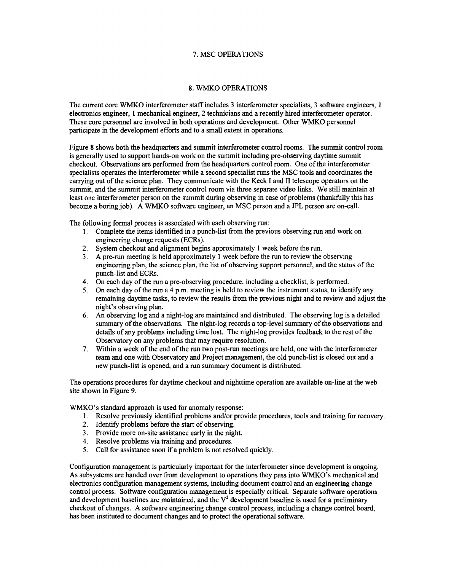# 7. MSC OPERATIONS

# 8. WMKO OPERATIONS

The current core WMKO interferometer staff includes 3 interferometer specialists, 3 software engineers, 1 electronics engineer, 1 mechanical engineer, 2 technicians and a recently hired interferometer operator. These core personnel are involved in both operations and development. Other WMKO personnel participate in the development efforts and to a small extent in operations.

Figure 8 shows both the headquarters and summit interferometer control rooms. The summit control room is generally used to support hands-on work on the summit including pre-observing daytime summit checkout. Observations are performed from the headquarters control room. One of the interferometer specialists operates the interferometer while a second specialist runs the MSC tools and coordinates the carrying out of the science plan. They communicate with the Keck I and **I1** telescope operators on the summit, and the summit interferometer control room via three separate video links. We still maintain at least one interferometer person on the summit during observing in case of problems (thankfully this has become a boring job). A WMKO software engineer, an MSC person and a JPL person are on-call.

The following formal process is associated with each observing run:

- 1. Complete the items identified in a punch-list from the previous observing run and work on engineering change requests (ECRs).
- **2.**  System checkout and alignment begins approximately 1 week before the run.
- **3.**  A pre-run meeting is held approximately 1 week before the run to review the observing engineering plan, the science plan, the list of observing support personnel, and the status of the punch-list and ECRs.
- 4. On each day of the run a pre-observing procedure, including a checklist, is performed.
- *5.*  On each day of the run a 4 p.m. meeting is held to review the instrument status, to identify any remaining daytime **tasks,** to review the results from the previous night and to review and adjust the night's observing plan.
- *6.*  An observing log and a night-log are maintained and distributed. The observing log is a detailed summary of the observations. The night-log records a top-level summary of the observations and details of any problems including time lost. The night-log provides feedback to the rest of the Observatory on any problems that may require resolution.
- 7. Within a week of the end of the run two post-run meetings are held, one with the interferometer team and one with Observatory and Project management, the old punch-list is closed out and a new punch-list is opened, and a run summary document is distributed.

The operations procedures for daytime checkout and nighttime operation are available on-line at the web site shown in Figure 9.

WMKO's standard approach is used for anomaly response:

- 1. Resolve previously identified problems and/or provide procedures, tools and training for recovery.
- 2. Identify problems before the start of observing.
- 3. Provide more on-site assistance early in the night.
- 4. Resolve problems via training and procedures.
- *5.* Call for assistance soon if a problem is not resolved quickly.

Configuration management is particularly important for the interferometer since development is ongoing. As subsystems are handed over from development to operations they pass into WMKO's mechanical and electronics configuration management systems, including document control and an engineering change control process. Software configuration management is especially critical. Separate software operations and development baselines are maintained, and the  $V^2$  development baseline is used for a preliminary checkout of changes. A software engineering change control process, including a change control board, has been instituted to document changes and to protect the operational software.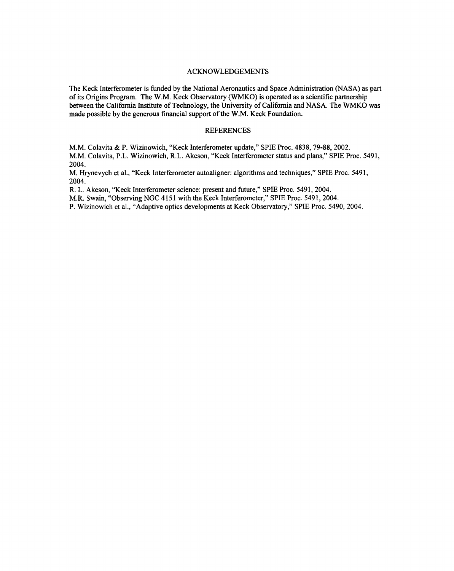### ACKNOWLEDGEMENTS

The Keck Interferometer is funded by the National Aeronautics and Space Administration (NASA) as part of its Origins Program. The W.M. Keck Observatory (WMKO) is operated as a scientific partnership between the Califomia Institute of Technology, the University of Califomia and NASA. The WMKO was made possible by the generous financial support of the W.M. Keck Foundation.

# REFERENCES

M.M. Colavita & P. Wizinowich, "Keck Interferometer update," SPIE Proc. 4838,79-88,2002.

M.M. Colavita, P.L. Wizinowich, R.L. Akeson, "Keck Interferometer status and plans," SPIE Proc. 5491, 2004.

M. Hrynevych et al., "Keck Interferometer autoaligner: algorithms and techniques," SPIE Proc. 5491, 2004.

R. L. Akeson, "Keck Interferometer science: present and future," SPIE Proc. 5491, 2004.

M.R. Swain, "Observing NGC 4151 with the Keck Interferometer," SPIE Proc. 5491,2004.

P. Wizinowich et al., "Adaptive optics developments at Keck Observatory," SPIE Proc. 5490,2004.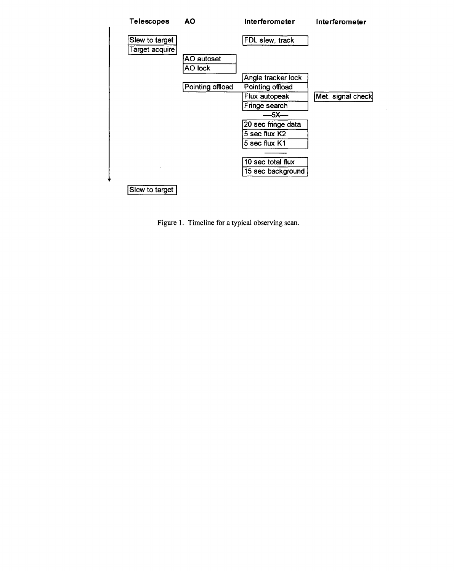

**[Figure](#page-1-0) 1. Timeline** for **a typical observing scan.**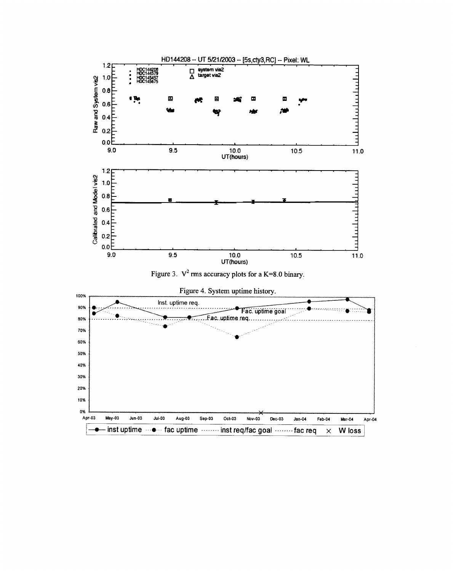<span id="page-7-0"></span>

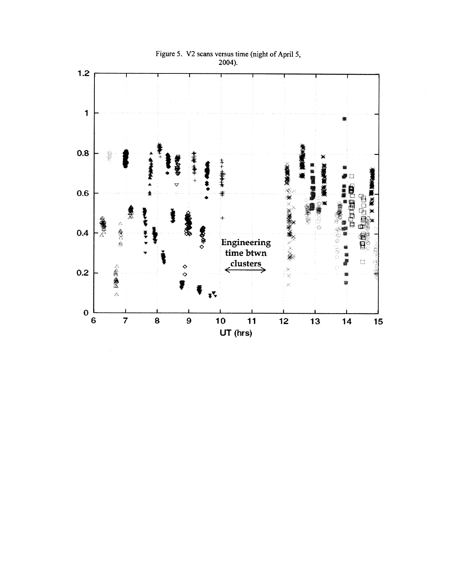<span id="page-8-0"></span>

**Figure 5. V2 scans versus time (night of April 5, 2004).**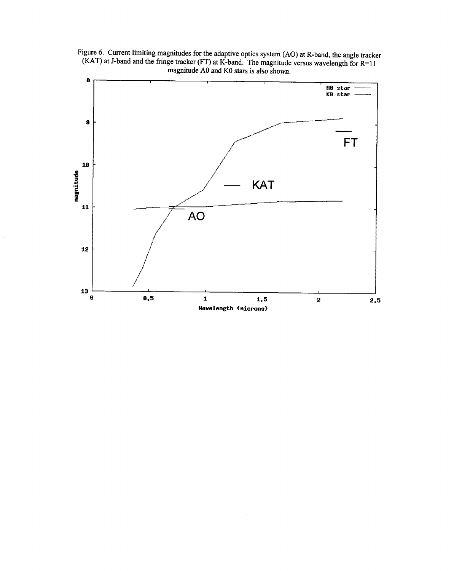Figure 6. Current limiting magnitudes for the adaptive optics system (AO) at R-band, the angle tracker (KAT) at J-band and the fringe tracker (FT) at K-band. The magnitude versus wavelength for  $R=11$ magnitude A0 and K0 stars is also shown.

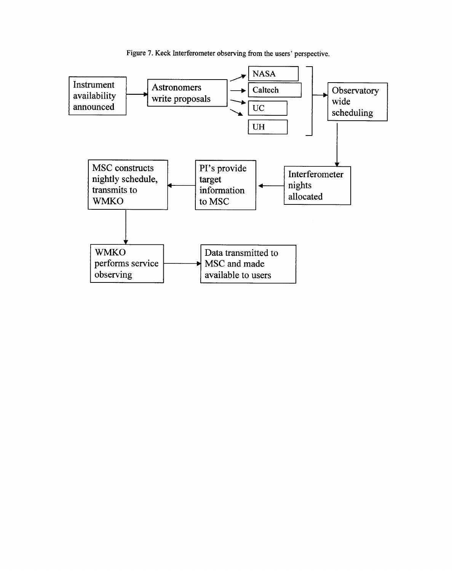

<span id="page-10-0"></span>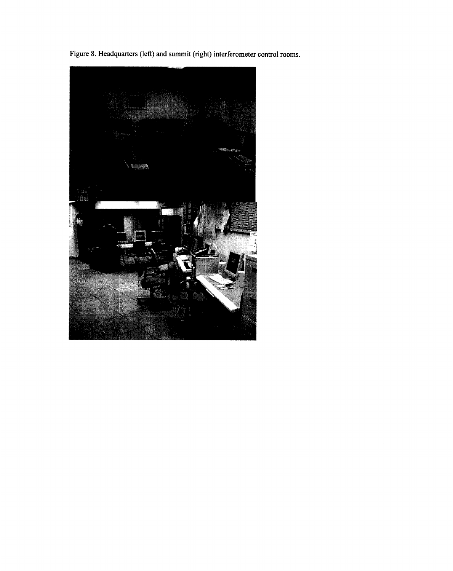**Figure 8. Headquarters (left)** and **summit (right) interferometer control rooms.**